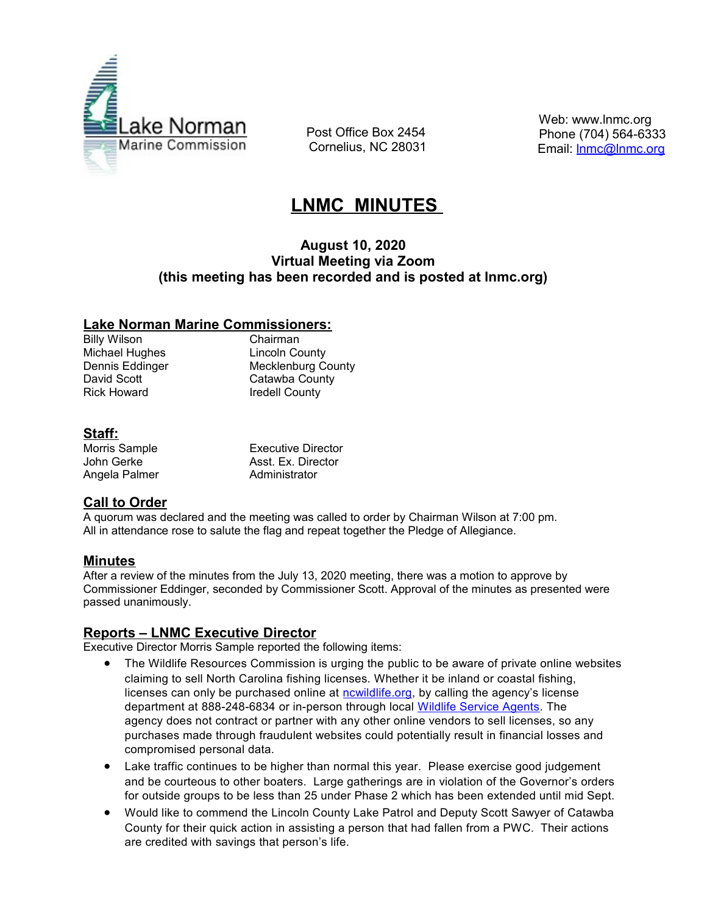

 Post Office Box 2454 Cornelius, NC 28031  Web: www.lnmc.org Phone (704) 564-6333 Email: **Inmc@Inmc.org** 

# **LNMC MINUTES**

### **August 10, 2020 Virtual Meeting via Zoom (this meeting has been recorded and is posted at lnmc.org)**

### **Lake Norman Marine Commissioners:**

Billy Wilson Chairman Michael Hughes **Lincoln County** Rick Howard **Iredell County** 

Dennis Eddinger Mecklenburg County David Scott Catawba County

### **Staff:**

| Morris Sample | Executive Director |
|---------------|--------------------|
| John Gerke    | Asst. Ex. Director |
| Angela Palmer | Administrator      |

# **Call to Order**

A quorum was declared and the meeting was called to order by Chairman Wilson at 7:00 pm. All in attendance rose to salute the flag and repeat together the Pledge of Allegiance.

### **Minutes**

After a review of the minutes from the July 13, 2020 meeting, there was a motion to approve by Commissioner Eddinger, seconded by Commissioner Scott. Approval of the minutes as presented were passed unanimously.

### **Reports – LNMC Executive Director**

Executive Director Morris Sample reported the following items:

- The Wildlife Resources Commission is urging the public to be aware of private online websites claiming to sell North Carolina fishing licenses. Whether it be inland or coastal fishing, licenses can only be purchased online at nowildlife.org, by calling the agency's license department at 888-248-6834 or in-person through local [Wildlife Service Agents .](https://click.icptrack.com/icp/relay.php?r=43291702&msgid=1069885&act=KZRV&c=1056513&destination=https%3A%2F%2Fwww.ncalvin.org%2FWildlifeServiceAgentMVC%2F&cf=37810&v=f164c2495695dbc3d379ca2cc998d461cf49956a0ee5074772ffbef7ec7d8474) The agency does not contract or partner with any other online vendors to sell licenses, so any purchases made through fraudulent websites could potentially result in financial losses and compromised personal data.
- Lake traffic continues to be higher than normal this year. Please exercise good judgement and be courteous to other boaters. Large gatherings are in violation of the Governor's orders for outside groups to be less than 25 under Phase 2 which has been extended until mid Sept.
- Would like to commend the Lincoln County Lake Patrol and Deputy Scott Sawyer of Catawba County for their quick action in assisting a person that had fallen from a PWC. Their actions are credited with savings that person's life.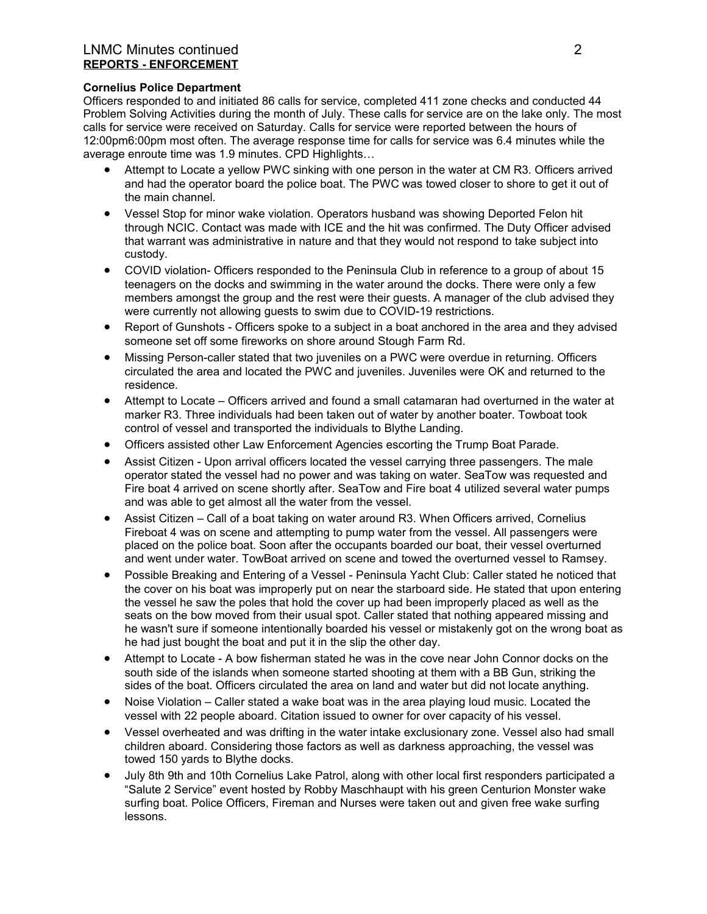#### LNMC Minutes continued 2 **REPORTS - ENFORCEMENT**

#### **Cornelius Police Department**

Officers responded to and initiated 86 calls for service, completed 411 zone checks and conducted 44 Problem Solving Activities during the month of July. These calls for service are on the lake only. The most calls for service were received on Saturday. Calls for service were reported between the hours of 12:00pm6:00pm most often. The average response time for calls for service was 6.4 minutes while the average enroute time was 1.9 minutes. CPD Highlights…

- Attempt to Locate a yellow PWC sinking with one person in the water at CM R3. Officers arrived and had the operator board the police boat. The PWC was towed closer to shore to get it out of the main channel.
- Vessel Stop for minor wake violation. Operators husband was showing Deported Felon hit through NCIC. Contact was made with ICE and the hit was confirmed. The Duty Officer advised that warrant was administrative in nature and that they would not respond to take subject into custody.
- COVID violation- Officers responded to the Peninsula Club in reference to a group of about 15 teenagers on the docks and swimming in the water around the docks. There were only a few members amongst the group and the rest were their guests. A manager of the club advised they were currently not allowing guests to swim due to COVID-19 restrictions.
- Report of Gunshots Officers spoke to a subject in a boat anchored in the area and they advised someone set off some fireworks on shore around Stough Farm Rd.
- Missing Person-caller stated that two juveniles on a PWC were overdue in returning. Officers circulated the area and located the PWC and juveniles. Juveniles were OK and returned to the residence.
- Attempt to Locate Officers arrived and found a small catamaran had overturned in the water at marker R3. Three individuals had been taken out of water by another boater. Towboat took control of vessel and transported the individuals to Blythe Landing.
- Officers assisted other Law Enforcement Agencies escorting the Trump Boat Parade.
- Assist Citizen Upon arrival officers located the vessel carrying three passengers. The male operator stated the vessel had no power and was taking on water. SeaTow was requested and Fire boat 4 arrived on scene shortly after. SeaTow and Fire boat 4 utilized several water pumps and was able to get almost all the water from the vessel.
- Assist Citizen Call of a boat taking on water around R3. When Officers arrived, Cornelius Fireboat 4 was on scene and attempting to pump water from the vessel. All passengers were placed on the police boat. Soon after the occupants boarded our boat, their vessel overturned and went under water. TowBoat arrived on scene and towed the overturned vessel to Ramsey.
- Possible Breaking and Entering of a Vessel Peninsula Yacht Club: Caller stated he noticed that the cover on his boat was improperly put on near the starboard side. He stated that upon entering the vessel he saw the poles that hold the cover up had been improperly placed as well as the seats on the bow moved from their usual spot. Caller stated that nothing appeared missing and he wasn't sure if someone intentionally boarded his vessel or mistakenly got on the wrong boat as he had just bought the boat and put it in the slip the other day.
- Attempt to Locate A bow fisherman stated he was in the cove near John Connor docks on the south side of the islands when someone started shooting at them with a BB Gun, striking the sides of the boat. Officers circulated the area on land and water but did not locate anything.
- Noise Violation Caller stated a wake boat was in the area playing loud music. Located the vessel with 22 people aboard. Citation issued to owner for over capacity of his vessel.
- Vessel overheated and was drifting in the water intake exclusionary zone. Vessel also had small children aboard. Considering those factors as well as darkness approaching, the vessel was towed 150 yards to Blythe docks.
- July 8th 9th and 10th Cornelius Lake Patrol, along with other local first responders participated a "Salute 2 Service" event hosted by Robby Maschhaupt with his green Centurion Monster wake surfing boat. Police Officers, Fireman and Nurses were taken out and given free wake surfing lessons.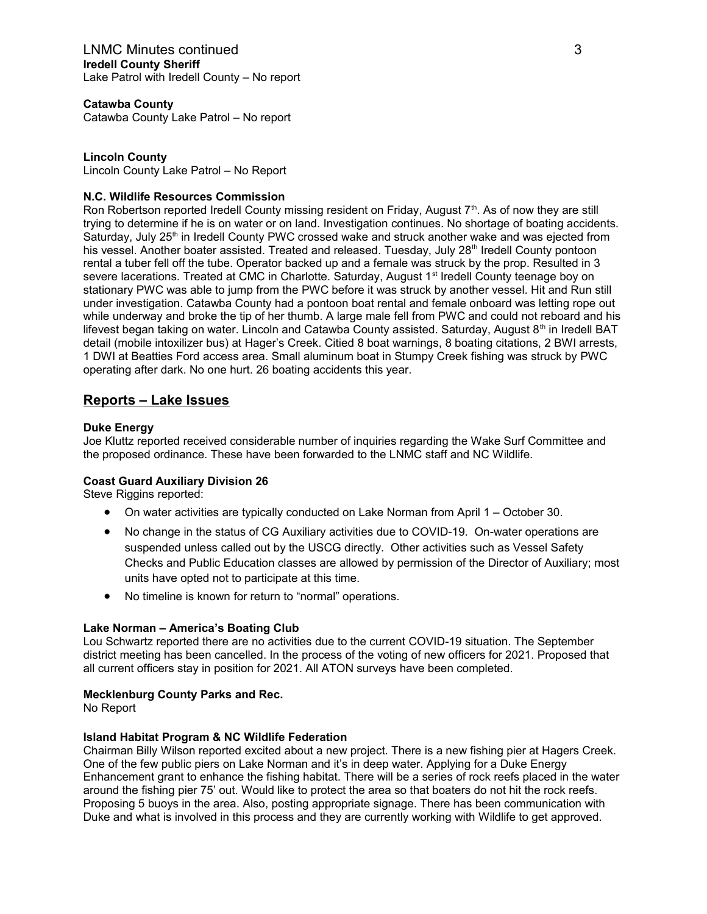**Catawba County** Catawba County Lake Patrol – No report

#### **Lincoln County**

Lincoln County Lake Patrol – No Report

#### **N.C. Wildlife Resources Commission**

Ron Robertson reported Iredell County missing resident on Friday, August 7<sup>th</sup>. As of now they are still trying to determine if he is on water or on land. Investigation continues. No shortage of boating accidents. Saturday, July 25<sup>th</sup> in Iredell County PWC crossed wake and struck another wake and was ejected from his vessel. Another boater assisted. Treated and released. Tuesday, July 28<sup>th</sup> Iredell County pontoon rental a tuber fell off the tube. Operator backed up and a female was struck by the prop. Resulted in 3 severe lacerations. Treated at CMC in Charlotte. Saturday, August 1<sup>st</sup> Iredell County teenage boy on stationary PWC was able to jump from the PWC before it was struck by another vessel. Hit and Run still under investigation. Catawba County had a pontoon boat rental and female onboard was letting rope out while underway and broke the tip of her thumb. A large male fell from PWC and could not reboard and his lifevest began taking on water. Lincoln and Catawba County assisted. Saturday, August 8<sup>th</sup> in Iredell BAT detail (mobile intoxilizer bus) at Hager's Creek. Citied 8 boat warnings, 8 boating citations, 2 BWI arrests, 1 DWI at Beatties Ford access area. Small aluminum boat in Stumpy Creek fishing was struck by PWC operating after dark. No one hurt. 26 boating accidents this year.

### **Reports – Lake Issues**

#### **Duke Energy**

Joe Kluttz reported received considerable number of inquiries regarding the Wake Surf Committee and the proposed ordinance. These have been forwarded to the LNMC staff and NC Wildlife.

#### **Coast Guard Auxiliary Division 26**

Steve Riggins reported:

- On water activities are typically conducted on Lake Norman from April 1 October 30.
- No change in the status of CG Auxiliary activities due to COVID-19. On-water operations are suspended unless called out by the USCG directly. Other activities such as Vessel Safety Checks and Public Education classes are allowed by permission of the Director of Auxiliary; most units have opted not to participate at this time.
- No timeline is known for return to "normal" operations.

#### **Lake Norman – America's Boating Club**

Lou Schwartz reported there are no activities due to the current COVID-19 situation. The September district meeting has been cancelled. In the process of the voting of new officers for 2021. Proposed that all current officers stay in position for 2021. All ATON surveys have been completed.

#### **Mecklenburg County Parks and Rec.**

No Report

#### **Island Habitat Program & NC Wildlife Federation**

Chairman Billy Wilson reported excited about a new project. There is a new fishing pier at Hagers Creek. One of the few public piers on Lake Norman and it's in deep water. Applying for a Duke Energy Enhancement grant to enhance the fishing habitat. There will be a series of rock reefs placed in the water around the fishing pier 75' out. Would like to protect the area so that boaters do not hit the rock reefs. Proposing 5 buoys in the area. Also, posting appropriate signage. There has been communication with Duke and what is involved in this process and they are currently working with Wildlife to get approved.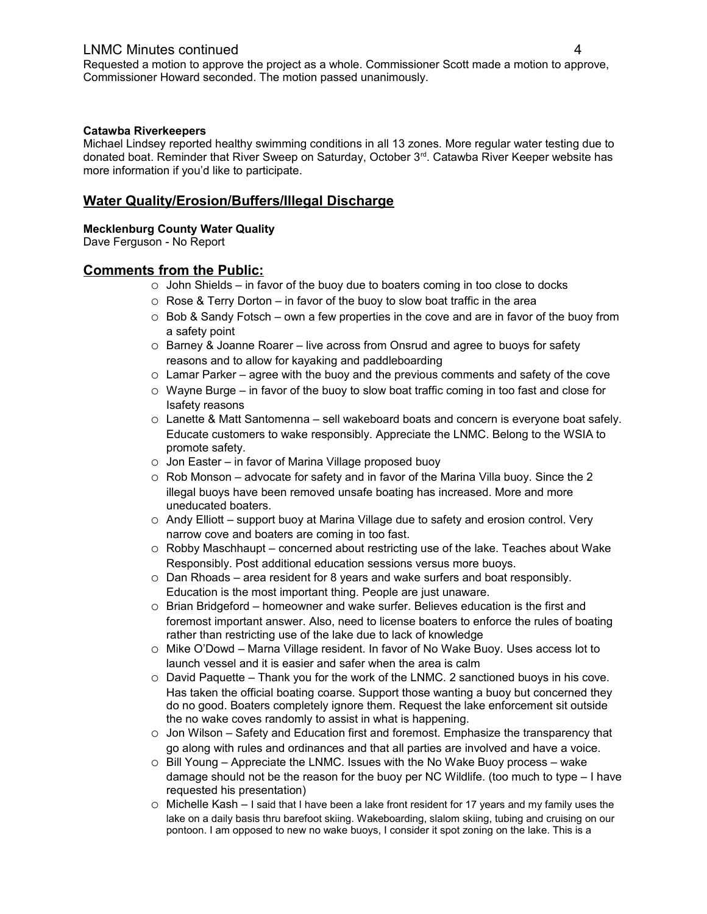### LNMC Minutes continued 4

Requested a motion to approve the project as a whole. Commissioner Scott made a motion to approve, Commissioner Howard seconded. The motion passed unanimously.

#### **Catawba Riverkeepers**

Michael Lindsey reported healthy swimming conditions in all 13 zones. More regular water testing due to donated boat. Reminder that River Sweep on Saturday, October 3rd. Catawba River Keeper website has more information if you'd like to participate.

### **Water Quality/Erosion/Buffers/Illegal Discharge**

#### **Mecklenburg County Water Quality**

Dave Ferguson - No Report

#### **Comments from the Public:**

- o John Shields in favor of the buoy due to boaters coming in too close to docks
- $\circ$  Rose & Terry Dorton in favor of the buoy to slow boat traffic in the area
- $\circ$  Bob & Sandy Fotsch own a few properties in the cove and are in favor of the buoy from a safety point
- o Barney & Joanne Roarer live across from Onsrud and agree to buoys for safety reasons and to allow for kayaking and paddleboarding
- $\circ$  Lamar Parker agree with the buoy and the previous comments and safety of the cove
- o Wayne Burge in favor of the buoy to slow boat traffic coming in too fast and close for Isafety reasons
- o Lanette & Matt Santomenna sell wakeboard boats and concern is everyone boat safely. Educate customers to wake responsibly. Appreciate the LNMC. Belong to the WSIA to promote safety.
- o Jon Easter in favor of Marina Village proposed buoy
- $\circ$  Rob Monson advocate for safety and in favor of the Marina Villa buoy. Since the 2 illegal buoys have been removed unsafe boating has increased. More and more uneducated boaters.
- o Andy Elliott support buoy at Marina Village due to safety and erosion control. Very narrow cove and boaters are coming in too fast.
- $\circ$  Robby Maschhaupt concerned about restricting use of the lake. Teaches about Wake Responsibly. Post additional education sessions versus more buoys.
- o Dan Rhoads area resident for 8 years and wake surfers and boat responsibly. Education is the most important thing. People are just unaware.
- $\circ$  Brian Bridgeford homeowner and wake surfer. Believes education is the first and foremost important answer. Also, need to license boaters to enforce the rules of boating rather than restricting use of the lake due to lack of knowledge
- o Mike O'Dowd Marna Village resident. In favor of No Wake Buoy. Uses access lot to launch vessel and it is easier and safer when the area is calm
- $\circ$  David Paquette Thank you for the work of the LNMC. 2 sanctioned buoys in his cove. Has taken the official boating coarse. Support those wanting a buoy but concerned they do no good. Boaters completely ignore them. Request the lake enforcement sit outside the no wake coves randomly to assist in what is happening.
- $\circ$  Jon Wilson Safety and Education first and foremost. Emphasize the transparency that go along with rules and ordinances and that all parties are involved and have a voice.
- $\circ$  Bill Young Appreciate the LNMC. Issues with the No Wake Buoy process wake damage should not be the reason for the buoy per NC Wildlife. (too much to type – I have requested his presentation)
- $\circ$  Michelle Kash I said that I have been a lake front resident for 17 years and my family uses the lake on a daily basis thru barefoot skiing. Wakeboarding, slalom skiing, tubing and cruising on our pontoon. I am opposed to new no wake buoys, I consider it spot zoning on the lake. This is a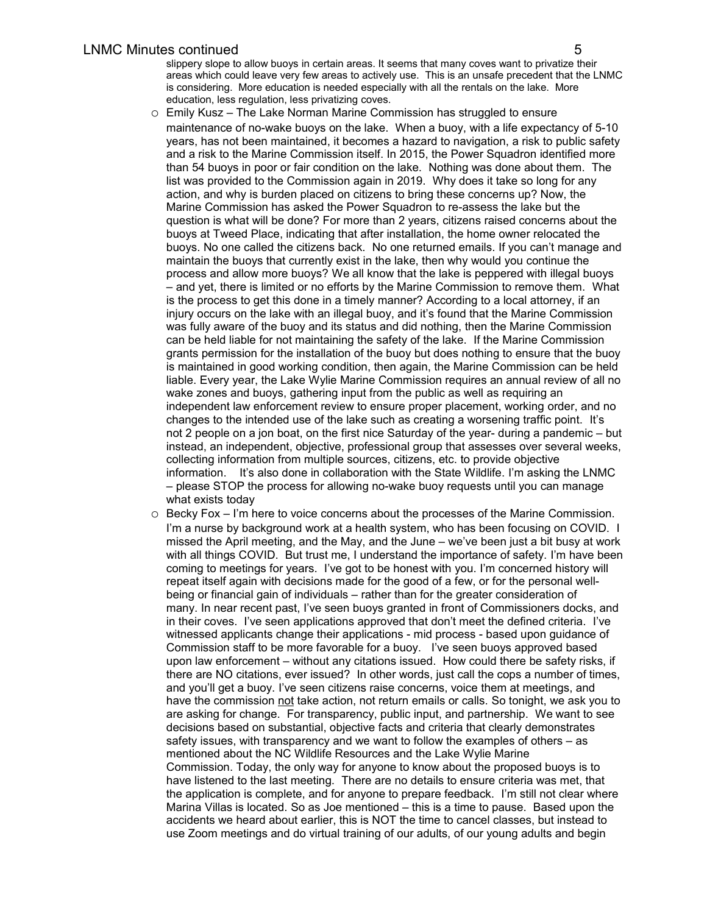slippery slope to allow buoys in certain areas. It seems that many coves want to privatize their areas which could leave very few areas to actively use. This is an unsafe precedent that the LNMC is considering. More education is needed especially with all the rentals on the lake. More education, less regulation, less privatizing coves.

- o Emily Kusz The Lake Norman Marine Commission has struggled to ensure maintenance of no-wake buoys on the lake. When a buoy, with a life expectancy of 5-10 years, has not been maintained, it becomes a hazard to navigation, a risk to public safety and a risk to the Marine Commission itself. In 2015, the Power Squadron identified more than 54 buoys in poor or fair condition on the lake. Nothing was done about them. The list was provided to the Commission again in 2019. Why does it take so long for any action, and why is burden placed on citizens to bring these concerns up? Now, the Marine Commission has asked the Power Squadron to re-assess the lake but the question is what will be done? For more than 2 years, citizens raised concerns about the buoys at Tweed Place, indicating that after installation, the home owner relocated the buoys. No one called the citizens back. No one returned emails. If you can't manage and maintain the buoys that currently exist in the lake, then why would you continue the process and allow more buoys? We all know that the lake is peppered with illegal buoys – and yet, there is limited or no efforts by the Marine Commission to remove them. What is the process to get this done in a timely manner? According to a local attorney, if an injury occurs on the lake with an illegal buoy, and it's found that the Marine Commission was fully aware of the buoy and its status and did nothing, then the Marine Commission can be held liable for not maintaining the safety of the lake. If the Marine Commission grants permission for the installation of the buoy but does nothing to ensure that the buoy is maintained in good working condition, then again, the Marine Commission can be held liable. Every year, the Lake Wylie Marine Commission requires an annual review of all no wake zones and buoys, gathering input from the public as well as requiring an independent law enforcement review to ensure proper placement, working order, and no changes to the intended use of the lake such as creating a worsening traffic point. It's not 2 people on a jon boat, on the first nice Saturday of the year- during a pandemic – but instead, an independent, objective, professional group that assesses over several weeks, collecting information from multiple sources, citizens, etc. to provide objective information. It's also done in collaboration with the State Wildlife. I'm asking the LNMC – please STOP the process for allowing no-wake buoy requests until you can manage what exists today
- o Becky Fox I'm here to voice concerns about the processes of the Marine Commission. I'm a nurse by background work at a health system, who has been focusing on COVID. I missed the April meeting, and the May, and the June – we've been just a bit busy at work with all things COVID. But trust me, I understand the importance of safety. I'm have been coming to meetings for years. I've got to be honest with you. I'm concerned history will repeat itself again with decisions made for the good of a few, or for the personal wellbeing or financial gain of individuals – rather than for the greater consideration of many. In near recent past, I've seen buoys granted in front of Commissioners docks, and in their coves. I've seen applications approved that don't meet the defined criteria. I've witnessed applicants change their applications - mid process - based upon guidance of Commission staff to be more favorable for a buoy. I've seen buoys approved based upon law enforcement – without any citations issued. How could there be safety risks, if there are NO citations, ever issued? In other words, just call the cops a number of times, and you'll get a buoy. I've seen citizens raise concerns, voice them at meetings, and have the commission not take action, not return emails or calls. So tonight, we ask you to are asking for change. For transparency, public input, and partnership. We want to see decisions based on substantial, objective facts and criteria that clearly demonstrates safety issues, with transparency and we want to follow the examples of others – as mentioned about the NC Wildlife Resources and the Lake Wylie Marine Commission. Today, the only way for anyone to know about the proposed buoys is to have listened to the last meeting. There are no details to ensure criteria was met, that the application is complete, and for anyone to prepare feedback. I'm still not clear where Marina Villas is located. So as Joe mentioned – this is a time to pause. Based upon the accidents we heard about earlier, this is NOT the time to cancel classes, but instead to use Zoom meetings and do virtual training of our adults, of our young adults and begin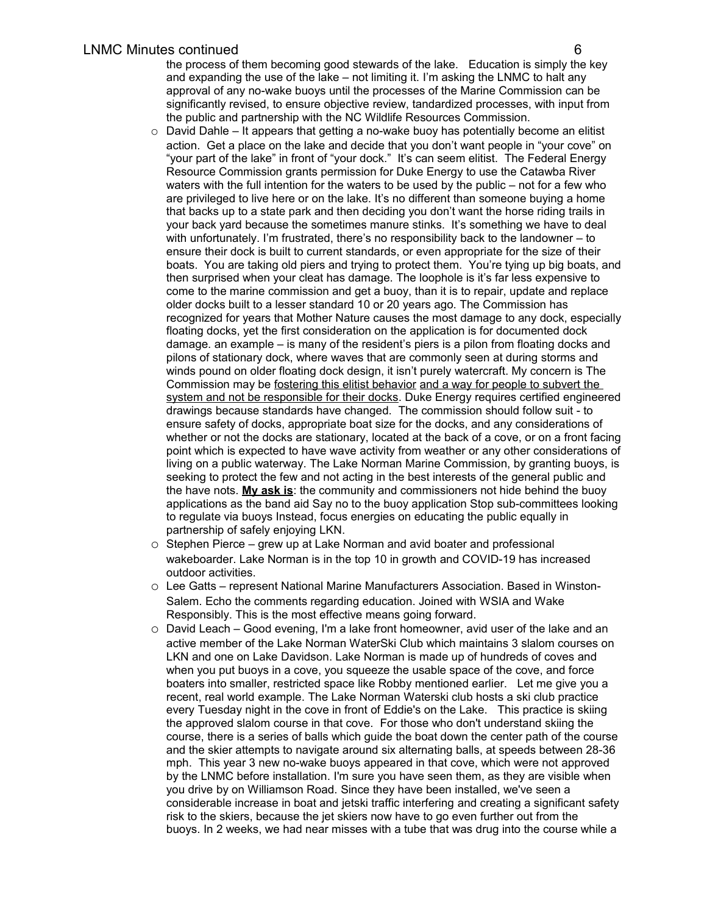the process of them becoming good stewards of the lake. Education is simply the key and expanding the use of the lake – not limiting it. I'm asking the LNMC to halt any approval of any no-wake buoys until the processes of the Marine Commission can be significantly revised, to ensure objective review, tandardized processes, with input from the public and partnership with the NC Wildlife Resources Commission.

- $\circ$  David Dahle It appears that getting a no-wake buoy has potentially become an elitist action. Get a place on the lake and decide that you don't want people in "your cove" on "your part of the lake" in front of "your dock." It's can seem elitist. The Federal Energy Resource Commission grants permission for Duke Energy to use the Catawba River waters with the full intention for the waters to be used by the public – not for a few who are privileged to live here or on the lake. It's no different than someone buying a home that backs up to a state park and then deciding you don't want the horse riding trails in your back yard because the sometimes manure stinks. It's something we have to deal with unfortunately. I'm frustrated, there's no responsibility back to the landowner – to ensure their dock is built to current standards, or even appropriate for the size of their boats. You are taking old piers and trying to protect them. You're tying up big boats, and then surprised when your cleat has damage. The loophole is it's far less expensive to come to the marine commission and get a buoy, than it is to repair, update and replace older docks built to a lesser standard 10 or 20 years ago. The Commission has recognized for years that Mother Nature causes the most damage to any dock, especially floating docks, yet the first consideration on the application is for documented dock damage. an example – is many of the resident's piers is a pilon from floating docks and pilons of stationary dock, where waves that are commonly seen at during storms and winds pound on older floating dock design, it isn't purely watercraft. My concern is The Commission may be fostering this elitist behavior and a way for people to subvert the system and not be responsible for their docks. Duke Energy requires certified engineered drawings because standards have changed. The commission should follow suit - to ensure safety of docks, appropriate boat size for the docks, and any considerations of whether or not the docks are stationary, located at the back of a cove, or on a front facing point which is expected to have wave activity from weather or any other considerations of living on a public waterway. The Lake Norman Marine Commission, by granting buoys, is seeking to protect the few and not acting in the best interests of the general public and the have nots. **My ask is**: the community and commissioners not hide behind the buoy applications as the band aid Say no to the buoy application Stop sub-committees looking to regulate via buoys Instead, focus energies on educating the public equally in partnership of safely enjoying LKN.
- o Stephen Pierce grew up at Lake Norman and avid boater and professional wakeboarder. Lake Norman is in the top 10 in growth and COVID-19 has increased outdoor activities.
- o Lee Gatts represent National Marine Manufacturers Association. Based in Winston-Salem. Echo the comments regarding education. Joined with WSIA and Wake Responsibly. This is the most effective means going forward.
- o David Leach Good evening, I'm a lake front homeowner, avid user of the lake and an active member of the Lake Norman WaterSki Club which maintains 3 slalom courses on LKN and one on Lake Davidson. Lake Norman is made up of hundreds of coves and when you put buoys in a cove, you squeeze the usable space of the cove, and force boaters into smaller, restricted space like Robby mentioned earlier. Let me give you a recent, real world example. The Lake Norman Waterski club hosts a ski club practice every Tuesday night in the cove in front of Eddie's on the Lake. This practice is skiing the approved slalom course in that cove. For those who don't understand skiing the course, there is a series of balls which guide the boat down the center path of the course and the skier attempts to navigate around six alternating balls, at speeds between 28-36 mph. This year 3 new no-wake buoys appeared in that cove, which were not approved by the LNMC before installation. I'm sure you have seen them, as they are visible when you drive by on Williamson Road. Since they have been installed, we've seen a considerable increase in boat and jetski traffic interfering and creating a significant safety risk to the skiers, because the jet skiers now have to go even further out from the buoys. In 2 weeks, we had near misses with a tube that was drug into the course while a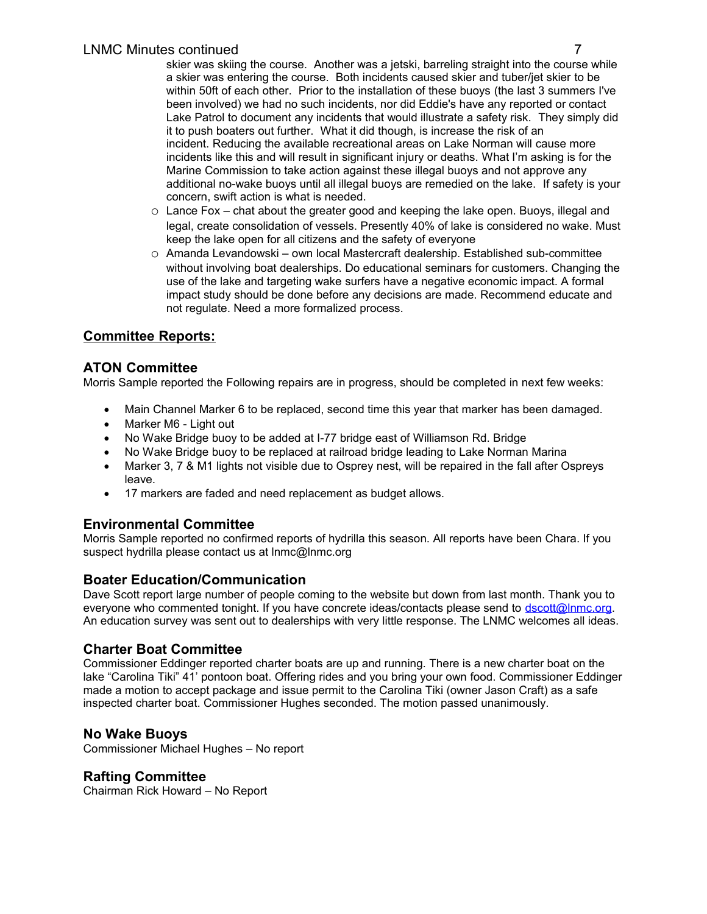skier was skiing the course. Another was a jetski, barreling straight into the course while a skier was entering the course. Both incidents caused skier and tuber/jet skier to be within 50ft of each other. Prior to the installation of these buoys (the last 3 summers I've been involved) we had no such incidents, nor did Eddie's have any reported or contact Lake Patrol to document any incidents that would illustrate a safety risk. They simply did it to push boaters out further. What it did though, is increase the risk of an incident. Reducing the available recreational areas on Lake Norman will cause more incidents like this and will result in significant injury or deaths. What I'm asking is for the Marine Commission to take action against these illegal buoys and not approve any additional no-wake buoys until all illegal buoys are remedied on the lake. If safety is your concern, swift action is what is needed.

- $\circ$  Lance Fox chat about the greater good and keeping the lake open. Buoys, illegal and legal, create consolidation of vessels. Presently 40% of lake is considered no wake. Must keep the lake open for all citizens and the safety of everyone
- o Amanda Levandowski own local Mastercraft dealership. Established sub-committee without involving boat dealerships. Do educational seminars for customers. Changing the use of the lake and targeting wake surfers have a negative economic impact. A formal impact study should be done before any decisions are made. Recommend educate and not regulate. Need a more formalized process.

# **Committee Reports:**

### **ATON Committee**

Morris Sample reported the Following repairs are in progress, should be completed in next few weeks:

- Main Channel Marker 6 to be replaced, second time this year that marker has been damaged.
- Marker M6 Light out
- No Wake Bridge buoy to be added at I-77 bridge east of Williamson Rd. Bridge
- No Wake Bridge buoy to be replaced at railroad bridge leading to Lake Norman Marina
- Marker 3, 7 & M1 lights not visible due to Osprey nest, will be repaired in the fall after Ospreys leave.
- 17 markers are faded and need replacement as budget allows.

# **Environmental Committee**

Morris Sample reported no confirmed reports of hydrilla this season. All reports have been Chara. If you suspect hydrilla please contact us at lnmc@lnmc.org

# **Boater Education/Communication**

Dave Scott report large number of people coming to the website but down from last month. Thank you to everyone who commented tonight. If you have concrete ideas/contacts please send to [dscott@lnmc.org.](mailto:dscott@lnmc.org) An education survey was sent out to dealerships with very little response. The LNMC welcomes all ideas.

# **Charter Boat Committee**

Commissioner Eddinger reported charter boats are up and running. There is a new charter boat on the lake "Carolina Tiki" 41' pontoon boat. Offering rides and you bring your own food. Commissioner Eddinger made a motion to accept package and issue permit to the Carolina Tiki (owner Jason Craft) as a safe inspected charter boat. Commissioner Hughes seconded. The motion passed unanimously.

# **No Wake Buoys**

Commissioner Michael Hughes – No report

# **Rafting Committee**

Chairman Rick Howard – No Report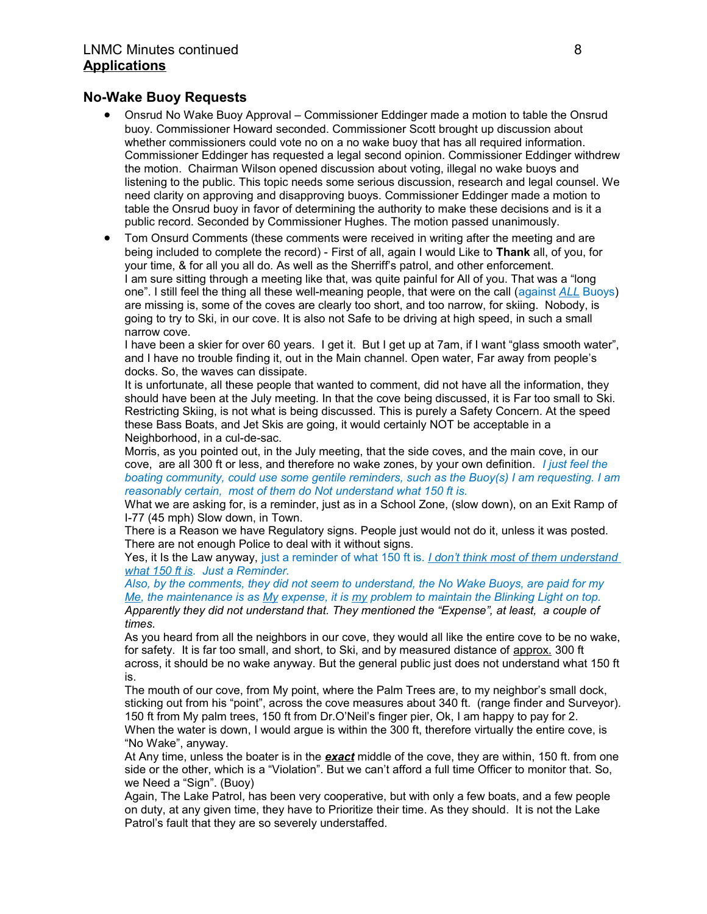### **No-Wake Buoy Requests**

- Onsrud No Wake Buoy Approval Commissioner Eddinger made a motion to table the Onsrud buoy. Commissioner Howard seconded. Commissioner Scott brought up discussion about whether commissioners could vote no on a no wake buoy that has all required information. Commissioner Eddinger has requested a legal second opinion. Commissioner Eddinger withdrew the motion. Chairman Wilson opened discussion about voting, illegal no wake buoys and listening to the public. This topic needs some serious discussion, research and legal counsel. We need clarity on approving and disapproving buoys. Commissioner Eddinger made a motion to table the Onsrud buoy in favor of determining the authority to make these decisions and is it a public record. Seconded by Commissioner Hughes. The motion passed unanimously.
- Tom Onsurd Comments (these comments were received in writing after the meeting and are being included to complete the record) - First of all, again I would Like to **Thank** all, of you, for your time, & for all you all do. As well as the Sherriff's patrol, and other enforcement. I am sure sitting through a meeting like that, was quite painful for All of you. That was a "long one". I still feel the thing all these well-meaning people, that were on the call (against *ALL* Buoys) are missing is, some of the coves are clearly too short, and too narrow, for skiing. Nobody, is going to try to Ski, in our cove. It is also not Safe to be driving at high speed, in such a small narrow cove.

I have been a skier for over 60 years. I get it. But I get up at 7am, if I want "glass smooth water", and I have no trouble finding it, out in the Main channel. Open water, Far away from people's docks. So, the waves can dissipate.

It is unfortunate, all these people that wanted to comment, did not have all the information, they should have been at the July meeting. In that the cove being discussed, it is Far too small to Ski. Restricting Skiing, is not what is being discussed. This is purely a Safety Concern. At the speed these Bass Boats, and Jet Skis are going, it would certainly NOT be acceptable in a Neighborhood, in a cul-de-sac.

Morris, as you pointed out, in the July meeting, that the side coves, and the main cove, in our cove, are all 300 ft or less, and therefore no wake zones, by your own definition. *I just feel the boating community, could use some gentile reminders, such as the Buoy(s) I am requesting. I am reasonably certain, most of them do Not understand what 150 ft is.*

What we are asking for, is a reminder, just as in a School Zone, (slow down), on an Exit Ramp of I-77 (45 mph) Slow down, in Town.

There is a Reason we have Regulatory signs. People just would not do it, unless it was posted. There are not enough Police to deal with it without signs.

Yes, it Is the Law anyway, just a reminder of what 150 ft is. *I don't think most of them understand what 150 ft is. Just a Reminder.*

*Also, by the comments, they did not seem to understand, the No Wake Buoys, are paid for my Me, the maintenance is as My expense, it is my problem to maintain the Blinking Light on top. Apparently they did not understand that. They mentioned the "Expense", at least, a couple of times.*

As you heard from all the neighbors in our cove, they would all like the entire cove to be no wake, for safety. It is far too small, and short, to Ski, and by measured distance of approx. 300 ft across, it should be no wake anyway. But the general public just does not understand what 150 ft is.

The mouth of our cove, from My point, where the Palm Trees are, to my neighbor's small dock, sticking out from his "point", across the cove measures about 340 ft. (range finder and Surveyor). 150 ft from My palm trees, 150 ft from Dr.O'Neil's finger pier, Ok, I am happy to pay for 2. When the water is down, I would argue is within the 300 ft, therefore virtually the entire cove, is "No Wake", anyway.

At Any time, unless the boater is in the *exact* middle of the cove, they are within, 150 ft. from one side or the other, which is a "Violation". But we can't afford a full time Officer to monitor that. So, we Need a "Sign". (Buoy)

Again, The Lake Patrol, has been very cooperative, but with only a few boats, and a few people on duty, at any given time, they have to Prioritize their time. As they should. It is not the Lake Patrol's fault that they are so severely understaffed.